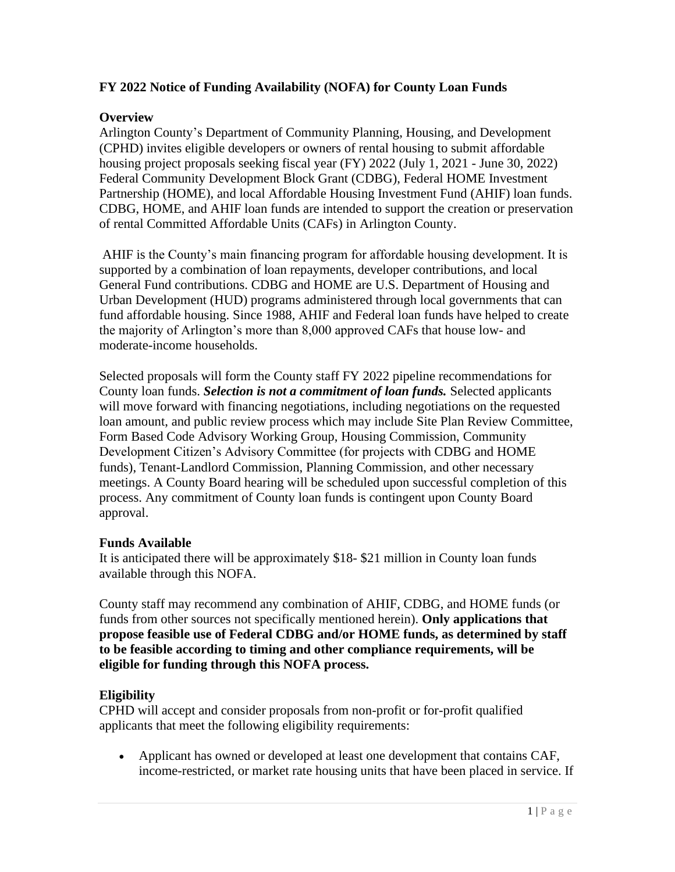# **FY 2022 Notice of Funding Availability (NOFA) for County Loan Funds**

## **Overview**

Arlington County's Department of Community Planning, Housing, and Development (CPHD) invites eligible developers or owners of rental housing to submit affordable housing project proposals seeking fiscal year (FY) 2022 (July 1, 2021 - June 30, 2022) Federal Community Development Block Grant (CDBG), Federal HOME Investment Partnership (HOME), and local Affordable Housing Investment Fund (AHIF) loan funds. CDBG, HOME, and AHIF loan funds are intended to support the creation or preservation of rental Committed Affordable Units (CAFs) in Arlington County.

AHIF is the County's main financing program for affordable housing development. It is supported by a combination of loan repayments, developer contributions, and local General Fund contributions. CDBG and HOME are U.S. Department of Housing and Urban Development (HUD) programs administered through local governments that can fund affordable housing. Since 1988, AHIF and Federal loan funds have helped to create the majority of Arlington's more than 8,000 approved CAFs that house low- and moderate-income households.

Selected proposals will form the County staff FY 2022 pipeline recommendations for County loan funds. *Selection is not a commitment of loan funds.* Selected applicants will move forward with financing negotiations, including negotiations on the requested loan amount, and public review process which may include Site Plan Review Committee, Form Based Code Advisory Working Group, Housing Commission, Community Development Citizen's Advisory Committee (for projects with CDBG and HOME funds), Tenant-Landlord Commission, Planning Commission, and other necessary meetings. A County Board hearing will be scheduled upon successful completion of this process. Any commitment of County loan funds is contingent upon County Board approval.

## **Funds Available**

It is anticipated there will be approximately \$18- \$21 million in County loan funds available through this NOFA.

County staff may recommend any combination of AHIF, CDBG, and HOME funds (or funds from other sources not specifically mentioned herein). **Only applications that propose feasible use of Federal CDBG and/or HOME funds, as determined by staff to be feasible according to timing and other compliance requirements, will be eligible for funding through this NOFA process.**

# **Eligibility**

CPHD will accept and consider proposals from non-profit or for-profit qualified applicants that meet the following eligibility requirements:

• Applicant has owned or developed at least one development that contains CAF, income-restricted, or market rate housing units that have been placed in service. If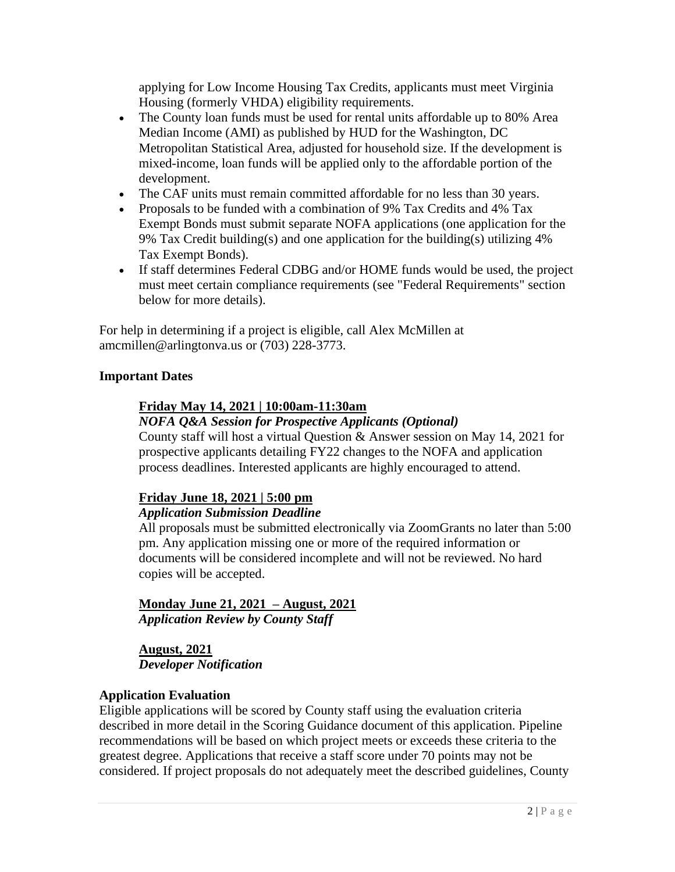applying for Low Income Housing Tax Credits, applicants must meet Virginia Housing (formerly VHDA) eligibility requirements.

- The County loan funds must be used for rental units affordable up to 80% Area Median Income (AMI) as published by HUD for the Washington, DC Metropolitan Statistical Area, adjusted for household size. If the development is mixed-income, loan funds will be applied only to the affordable portion of the development.
- The CAF units must remain committed affordable for no less than 30 years.
- Proposals to be funded with a combination of 9% Tax Credits and 4% Tax Exempt Bonds must submit separate NOFA applications (one application for the 9% Tax Credit building(s) and one application for the building(s) utilizing 4% Tax Exempt Bonds).
- If staff determines Federal CDBG and/or HOME funds would be used, the project must meet certain compliance requirements (see "Federal Requirements" section below for more details).

For help in determining if a project is eligible, call Alex McMillen at amcmillen@arlingtonva.us or (703) 228-3773.

## **Important Dates**

# **Friday May 14, 2021 | 10:00am-11:30am**

# *NOFA Q&A Session for Prospective Applicants (Optional)*

County staff will host a virtual Question & Answer session on May 14, 2021 for prospective applicants detailing FY22 changes to the NOFA and application process deadlines. Interested applicants are highly encouraged to attend.

## **Friday June 18, 2021 | 5:00 pm**

## *Application Submission Deadline*

All proposals must be submitted electronically via ZoomGrants no later than 5:00 pm. Any application missing one or more of the required information or documents will be considered incomplete and will not be reviewed. No hard copies will be accepted.

# **Monday June 21, 2021 – August, 2021**

*Application Review by County Staff*

**August, 2021** *Developer Notification*

## **Application Evaluation**

Eligible applications will be scored by County staff using the evaluation criteria described in more detail in the Scoring Guidance document of this application. Pipeline recommendations will be based on which project meets or exceeds these criteria to the greatest degree. Applications that receive a staff score under 70 points may not be considered. If project proposals do not adequately meet the described guidelines, County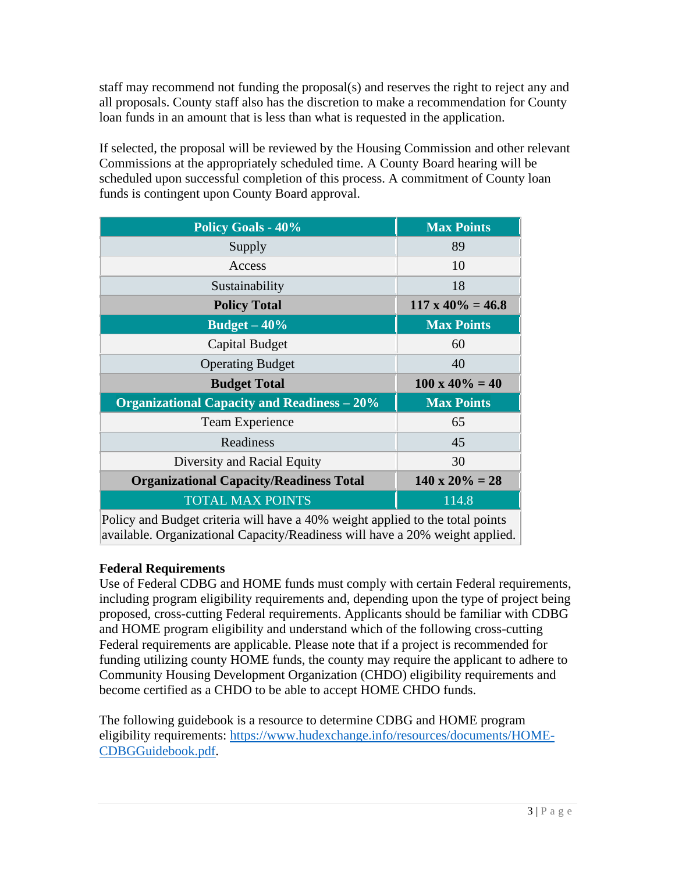staff may recommend not funding the proposal(s) and reserves the right to reject any and all proposals. County staff also has the discretion to make a recommendation for County loan funds in an amount that is less than what is requested in the application.

If selected, the proposal will be reviewed by the Housing Commission and other relevant Commissions at the appropriately scheduled time. A County Board hearing will be scheduled upon successful completion of this process. A commitment of County loan funds is contingent upon County Board approval.

| <b>Policy Goals - 40%</b>                                                     | <b>Max Points</b>        |  |  |  |  |
|-------------------------------------------------------------------------------|--------------------------|--|--|--|--|
| Supply                                                                        | 89                       |  |  |  |  |
| Access                                                                        | 10                       |  |  |  |  |
| Sustainability                                                                | 18                       |  |  |  |  |
| <b>Policy Total</b>                                                           | $117 \times 40\% = 46.8$ |  |  |  |  |
| Budget $-40%$                                                                 | <b>Max Points</b>        |  |  |  |  |
| Capital Budget                                                                | 60                       |  |  |  |  |
| <b>Operating Budget</b>                                                       | 40                       |  |  |  |  |
| <b>Budget Total</b>                                                           | $100 \times 40\% = 40$   |  |  |  |  |
| <b>Organizational Capacity and Readiness – 20%</b>                            | <b>Max Points</b>        |  |  |  |  |
| Team Experience                                                               | 65                       |  |  |  |  |
| Readiness                                                                     | 45                       |  |  |  |  |
| Diversity and Racial Equity                                                   | 30                       |  |  |  |  |
| <b>Organizational Capacity/Readiness Total</b>                                | $140 \times 20\% = 28$   |  |  |  |  |
| <b>TOTAL MAX POINTS</b>                                                       | 114.8                    |  |  |  |  |
| Policy and Rudget criteria will have a 40% weight applied to the total points |                          |  |  |  |  |

Policy and Budget criteria will have a 40% weight applied to the total points available. Organizational Capacity/Readiness will have a 20% weight applied.

# **Federal Requirements**

Use of Federal CDBG and HOME funds must comply with certain Federal requirements, including program eligibility requirements and, depending upon the type of project being proposed, cross-cutting Federal requirements. Applicants should be familiar with CDBG and HOME program eligibility and understand which of the following cross-cutting Federal requirements are applicable. Please note that if a project is recommended for funding utilizing county HOME funds, the county may require the applicant to adhere to Community Housing Development Organization (CHDO) eligibility requirements and become certified as a CHDO to be able to accept HOME CHDO funds.

The following guidebook is a resource to determine CDBG and HOME program eligibility requirements: [https://www.hudexchange.info/resources/documents/HOME-](https://www.hudexchange.info/resources/documents/HOME-CDBGGuidebook.pdf)[CDBGGuidebook.pdf.](https://www.hudexchange.info/resources/documents/HOME-CDBGGuidebook.pdf)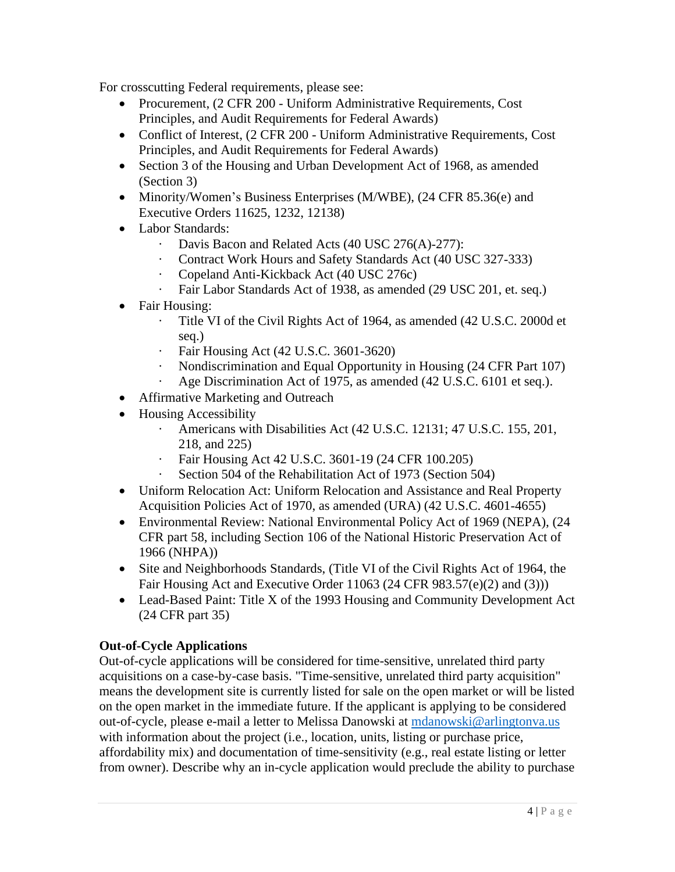For crosscutting Federal requirements, please see:

- Procurement, (2 CFR 200 Uniform Administrative Requirements, Cost Principles, and Audit Requirements for Federal Awards)
- Conflict of Interest, (2 CFR 200 Uniform Administrative Requirements, Cost Principles, and Audit Requirements for Federal Awards)
- Section 3 of the Housing and Urban Development Act of 1968, as amended (Section 3)
- Minority/Women's Business Enterprises (M/WBE), (24 CFR 85.36(e) and Executive Orders 11625, 1232, 12138)
- Labor Standards:
	- Davis Bacon and Related Acts (40 USC 276(A)-277):
	- · Contract Work Hours and Safety Standards Act (40 USC 327‐333)
	- · Copeland Anti‐Kickback Act (40 USC 276c)
	- Fair Labor Standards Act of 1938, as amended (29 USC 201, et. seq.)
- Fair Housing:
	- · Title VI of the Civil Rights Act of 1964, as amended (42 U.S.C. 2000d et seq.)
	- · Fair Housing Act (42 U.S.C. 3601-3620)
	- · Nondiscrimination and Equal Opportunity in Housing (24 CFR Part 107)
	- Age Discrimination Act of 1975, as amended (42 U.S.C. 6101 et seq.).
- Affirmative Marketing and Outreach
- Housing Accessibility
	- Americans with Disabilities Act (42 U.S.C. 12131; 47 U.S.C. 155, 201, 218, and 225)
	- · Fair Housing Act 42 U.S.C. 3601-19 (24 CFR 100.205)
	- Section 504 of the Rehabilitation Act of 1973 (Section 504)
- Uniform Relocation Act: Uniform Relocation and Assistance and Real Property Acquisition Policies Act of 1970, as amended (URA) (42 U.S.C. 4601‐4655)
- Environmental Review: National Environmental Policy Act of 1969 (NEPA), (24 CFR part 58, including Section 106 of the National Historic Preservation Act of 1966 (NHPA))
- Site and Neighborhoods Standards, (Title VI of the Civil Rights Act of 1964, the Fair Housing Act and Executive Order 11063 (24 CFR 983.57(e)(2) and (3)))
- Lead-Based Paint: Title X of the 1993 Housing and Community Development Act (24 CFR part 35)

# **Out-of-Cycle Applications**

Out-of-cycle applications will be considered for time-sensitive, unrelated third party acquisitions on a case-by-case basis. "Time-sensitive, unrelated third party acquisition" means the development site is currently listed for sale on the open market or will be listed on the open market in the immediate future. If the applicant is applying to be considered out-of-cycle, please e-mail a letter to Melissa Danowski at [mdanowski@arlingtonva.us](mailto:mdanowski@arlingtonva.us) with information about the project (i.e., location, units, listing or purchase price, affordability mix) and documentation of time-sensitivity (e.g., real estate listing or letter from owner). Describe why an in-cycle application would preclude the ability to purchase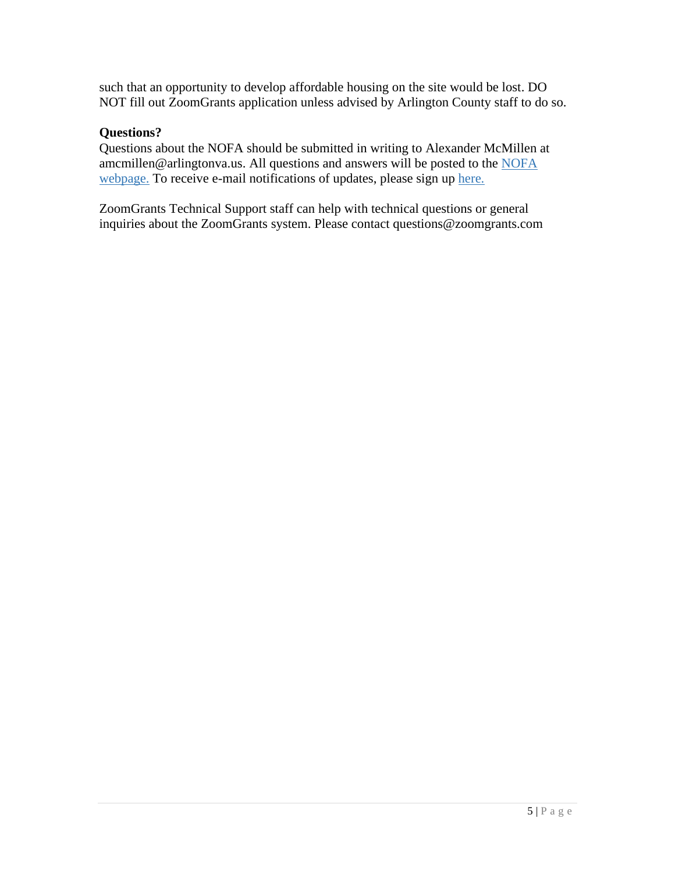such that an opportunity to develop affordable housing on the site would be lost. DO NOT fill out ZoomGrants application unless advised by Arlington County staff to do so.

## **Questions?**

Questions about the NOFA should be submitted in writing to Alexander McMillen at amcmillen@arlingtonva.us. All questions and answers will be posted to the [NOFA](https://housing.arlingtonva.us/development/affordable-housing-investment-fund/) [webpage.](https://housing.arlingtonva.us/development/affordable-housing-investment-fund/) To receive e-mail notifications of updates, please sign up [here.](https://public.govdelivery.com/accounts/VAARLINGTON/subscriber/new?topic_id=VAARLINGTON_159)

ZoomGrants Technical Support staff can help with technical questions or general inquiries about the ZoomGrants system. Please contact questions@zoomgrants.com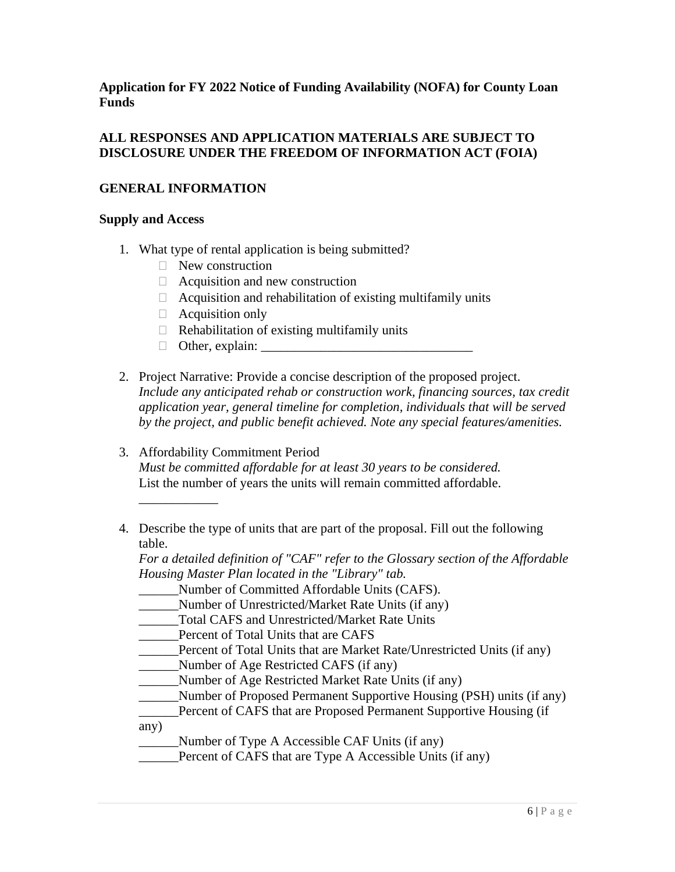**Application for FY 2022 Notice of Funding Availability (NOFA) for County Loan Funds**

## **ALL RESPONSES AND APPLICATION MATERIALS ARE SUBJECT TO DISCLOSURE UNDER THE FREEDOM OF INFORMATION ACT (FOIA)**

## **GENERAL INFORMATION**

#### **Supply and Access**

- 1. What type of rental application is being submitted?
	- □ New construction
	- $\Box$  Acquisition and new construction
	- $\Box$  Acquisition and rehabilitation of existing multifamily units
	- $\Box$  Acquisition only
	- $\Box$  Rehabilitation of existing multifamily units
	- $\Box$  Other, explain:
- 2. Project Narrative: Provide a concise description of the proposed project. *Include any anticipated rehab or construction work, financing sources, tax credit application year, general timeline for completion, individuals that will be served by the project, and public benefit achieved. Note any special features/amenities.*
- 3. Affordability Commitment Period *Must be committed affordable for at least 30 years to be considered.* List the number of years the units will remain committed affordable. \_\_\_\_\_\_\_\_\_\_\_\_
- 4. Describe the type of units that are part of the proposal. Fill out the following table.

*For a detailed definition of "CAF" refer to the Glossary section of the Affordable Housing Master Plan located in the "Library" tab.*

- \_\_\_\_\_\_Number of Committed Affordable Units (CAFS).
- \_\_\_\_\_\_Number of Unrestricted/Market Rate Units (if any)
- \_\_\_\_\_\_Total CAFS and Unrestricted/Market Rate Units
- \_\_\_\_\_\_Percent of Total Units that are CAFS
- \_\_\_\_\_\_Percent of Total Units that are Market Rate/Unrestricted Units (if any)
- \_\_\_\_\_\_Number of Age Restricted CAFS (if any)
- \_\_\_\_\_\_Number of Age Restricted Market Rate Units (if any)
- \_\_\_\_\_\_Number of Proposed Permanent Supportive Housing (PSH) units (if any)
- Percent of CAFS that are Proposed Permanent Supportive Housing (if any)
- Number of Type A Accessible CAF Units (if any)
- Percent of CAFS that are Type A Accessible Units (if any)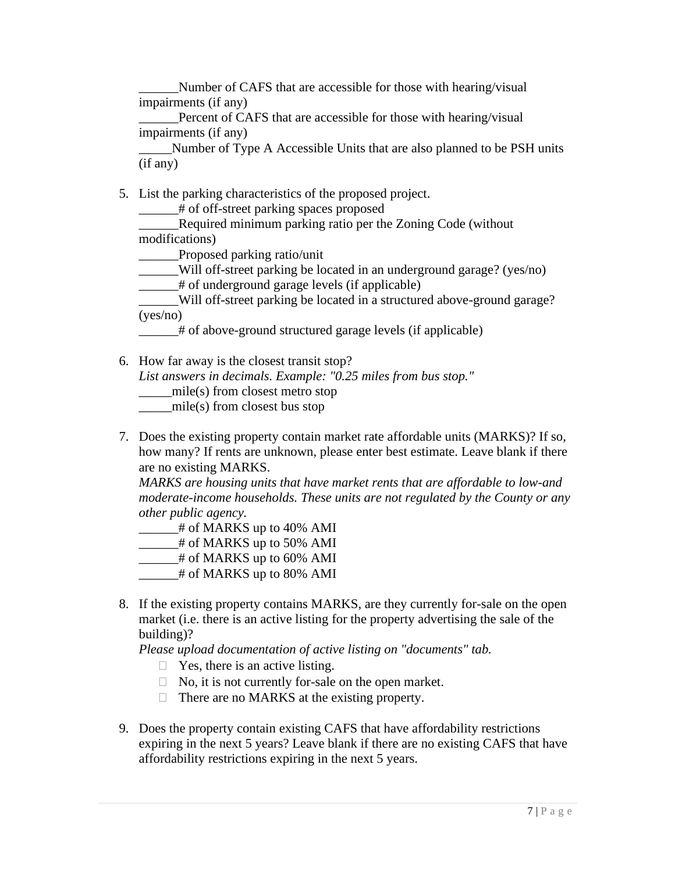Number of CAFS that are accessible for those with hearing/visual impairments (if any)

Percent of CAFS that are accessible for those with hearing/visual impairments (if any)

\_\_\_\_\_Number of Type A Accessible Units that are also planned to be PSH units (if any)

5. List the parking characteristics of the proposed project.

\_\_\_\_\_\_# of off-street parking spaces proposed

Required minimum parking ratio per the Zoning Code (without modifications)

\_\_\_\_\_\_Proposed parking ratio/unit

\_\_\_\_\_\_Will off-street parking be located in an underground garage? (yes/no)

\_\_\_\_\_\_# of underground garage levels (if applicable)

\_\_\_\_\_\_Will off-street parking be located in a structured above-ground garage? (yes/no)

\_\_\_\_\_\_# of above-ground structured garage levels (if applicable)

6. How far away is the closest transit stop?

*List answers in decimals. Example: "0.25 miles from bus stop."*

\_\_\_\_\_mile(s) from closest metro stop

 $mile(s)$  from closest bus stop

7. Does the existing property contain market rate affordable units (MARKS)? If so, how many? If rents are unknown, please enter best estimate. Leave blank if there are no existing MARKS.

*MARKS are housing units that have market rents that are affordable to low-and moderate-income households. These units are not regulated by the County or any other public agency.*

- *\_\_\_\_\_\_*# of MARKS up to 40% AMI
- *\_\_\_\_\_\_*# of MARKS up to 50% AMI
- *\_\_\_\_\_\_*# of MARKS up to 60% AMI
- *\_\_\_\_\_\_*# of MARKS up to 80% AMI
- 8. If the existing property contains MARKS, are they currently for-sale on the open market (i.e. there is an active listing for the property advertising the sale of the building)?

*Please upload documentation of active listing on "documents" tab.*

- $\Box$  Yes, there is an active listing.
- $\Box$  No, it is not currently for-sale on the open market.
- $\Box$  There are no MARKS at the existing property.
- 9. Does the property contain existing CAFS that have affordability restrictions expiring in the next 5 years? Leave blank if there are no existing CAFS that have affordability restrictions expiring in the next 5 years.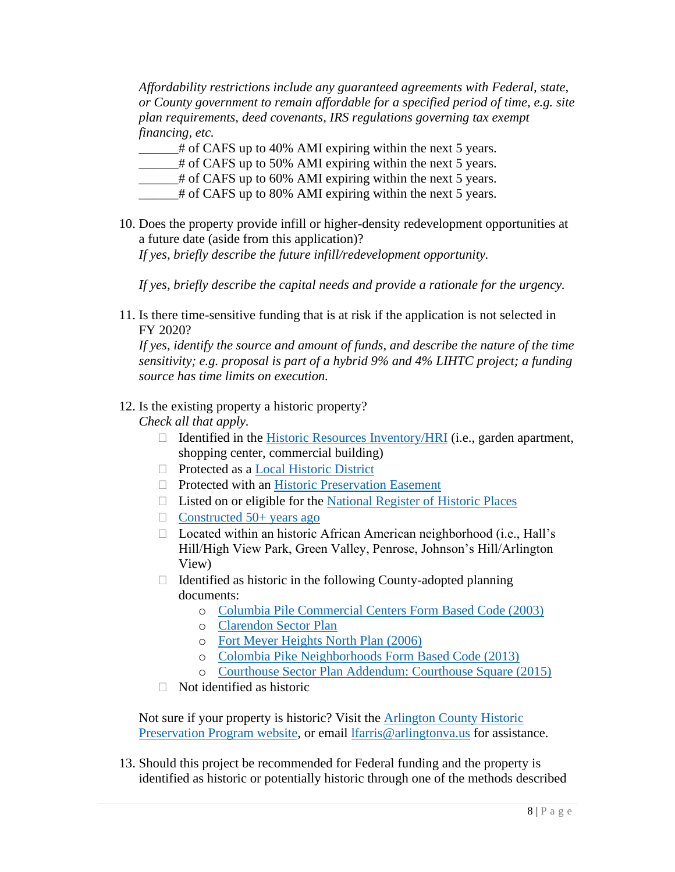*Affordability restrictions include any guaranteed agreements with Federal, state, or County government to remain affordable for a specified period of time, e.g. site plan requirements, deed covenants, IRS regulations governing tax exempt financing, etc.*

 $\frac{1}{4}$  of CAFS up to 40% AMI expiring within the next 5 years.

- \_\_\_\_\_\_# of CAFS up to 50% AMI expiring within the next 5 years.
- $\equiv$  # of CAFS up to 60% AMI expiring within the next 5 years.
- \_\_\_\_\_\_# of CAFS up to 80% AMI expiring within the next 5 years.
- 10. Does the property provide infill or higher-density redevelopment opportunities at a future date (aside from this application)? *If yes, briefly describe the future infill/redevelopment opportunity.*

*If yes, briefly describe the capital needs and provide a rationale for the urgency.*

11. Is there time-sensitive funding that is at risk if the application is not selected in FY 2020?

*If yes, identify the source and amount of funds, and describe the nature of the time sensitivity; e.g. proposal is part of a hybrid 9% and 4% LIHTC project; a funding source has time limits on execution.*

# 12. Is the existing property a historic property?

*Check all that apply.*

- $\Box$  Identified in the [Historic Resources Inventory/HRI](https://projects.arlingtonva.us/wp-content/uploads/sites/31/2014/02/HRI-Phase1.pdf) (i.e., garden apartment, shopping center, commercial building)
- □ Protected as a [Local Historic District](https://projects.arlingtonva.us/plans-studies/historic-preservation/local-historic-districts/)
- □ Protected with an [Historic Preservation Easement](https://projects.arlingtonva.us/plans-studies/historic-preservation/historic-preservation-easements/)
- $\Box$  Listed on or eligible for the [National Register of Historic Places](https://projects.arlingtonva.us/plans-studies/historic-preservation/national-historic-places/)
- $\Box$  [Constructed 50+ years ago](https://propertysearch.arlingtonva.us/)
- $\Box$  Located within an historic African American neighborhood (i.e., Hall's Hill/High View Park, Green Valley, Penrose, Johnson's Hill/Arlington View)
- $\Box$  Identified as historic in the following County-adopted planning documents:
	- o [Columbia Pile Commercial Centers Form Based Code \(2003\)](https://arlingtonva.s3.dualstack.us-east-1.amazonaws.com/wp-content/uploads/sites/31/2016/12/2016-FBC-Reprint-for-web.pdf)
	- o [Clarendon Sector Plan](https://arlingtonva.s3.amazonaws.com/wp-content/uploads/sites/31/2014/03/Clarendon-SectorPlan06.pdf)
	- o [Fort Meyer Heights North Plan \(2006\)](https://projects.arlingtonva.us/wp-content/uploads/sites/31/2014/04/Fort-Myer-Heights-North-Plan.pdf)
	- o [Colombia Pike Neighborhoods Form Based Code \(2013\)](https://arlingtonva.s3.dualstack.us-east-1.amazonaws.com/wp-content/uploads/sites/31/2016/12/Dec-2016-N_FBC-Update.pdf)
	- o [Courthouse Sector Plan Addendum: Courthouse Square \(2015\)](https://arlingtonva.s3.amazonaws.com/wp-content/uploads/sites/31/2015/12/Courthouse_SectorPlanAddendum_FINAL-12_2_15.pdf)
- $\Box$  Not identified as historic

Not sure if your property is historic? Visit the **Arlington County Historic** [Preservation Program website,](https://projects.arlingtonva.us/plans-studies/historic-preservation/historic-places/) or email [lfarris@arlingtonva.us](mailto:lfarris@arlingtonva.us) for assistance.

13. Should this project be recommended for Federal funding and the property is identified as historic or potentially historic through one of the methods described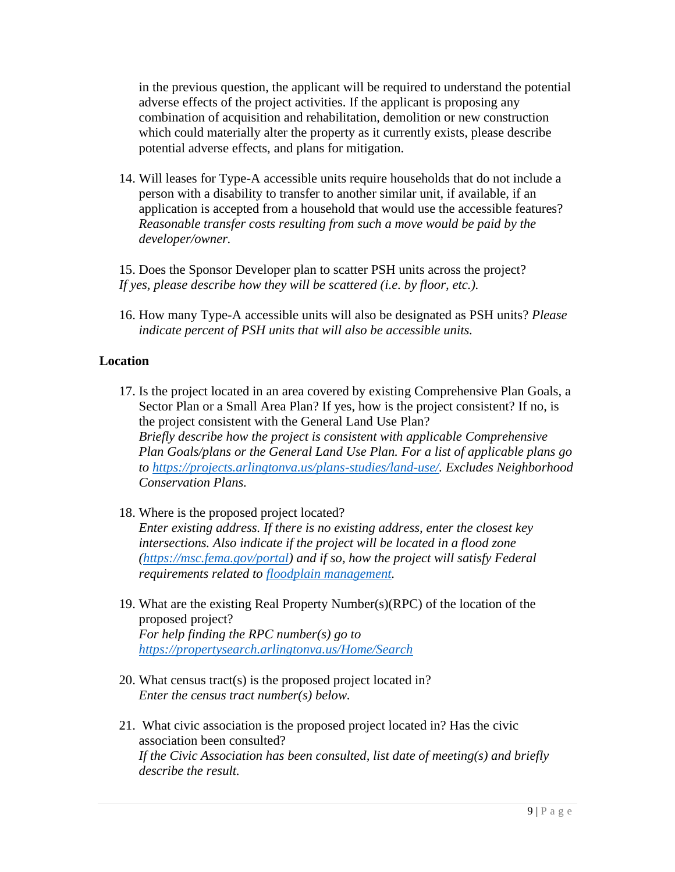in the previous question, the applicant will be required to understand the potential adverse effects of the project activities. If the applicant is proposing any combination of acquisition and rehabilitation, demolition or new construction which could materially alter the property as it currently exists, please describe potential adverse effects, and plans for mitigation.

14. Will leases for Type-A accessible units require households that do not include a person with a disability to transfer to another similar unit, if available, if an application is accepted from a household that would use the accessible features? *Reasonable transfer costs resulting from such a move would be paid by the developer/owner.*

15. Does the Sponsor Developer plan to scatter PSH units across the project? *If yes, please describe how they will be scattered (i.e. by floor, etc.).*

16. How many Type-A accessible units will also be designated as PSH units? *Please indicate percent of PSH units that will also be accessible units.*

## **Location**

- 17. Is the project located in an area covered by existing Comprehensive Plan Goals, a Sector Plan or a Small Area Plan? If yes, how is the project consistent? If no, is the project consistent with the General Land Use Plan? *Briefly describe how the project is consistent with applicable Comprehensive Plan Goals/plans or the General Land Use Plan. For a list of applicable plans go to [https://projects.arlingtonva.us/plans-studies/land-use/.](https://projects.arlingtonva.us/plans-studies/land-use/) Excludes Neighborhood Conservation Plans.*
- 18. Where is the proposed project located? *Enter existing address. If there is no existing address, enter the closest key intersections. Also indicate if the project will be located in a flood zone [\(https://msc.fema.gov/portal\)](https://msc.fema.gov/portal) and if so, how the project will satisfy Federal requirements related to [floodplain management.](https://www.hudexchange.info/environmental-review/floodplain-management/)*
- 19. What are the existing Real Property Number(s)(RPC) of the location of the proposed project? *For help finding the RPC number(s) go to <https://propertysearch.arlingtonva.us/Home/Search>*
- 20. What census tract(s) is the proposed project located in? *Enter the census tract number(s) below.*
- 21. What civic association is the proposed project located in? Has the civic association been consulted? *If the Civic Association has been consulted, list date of meeting(s) and briefly describe the result.*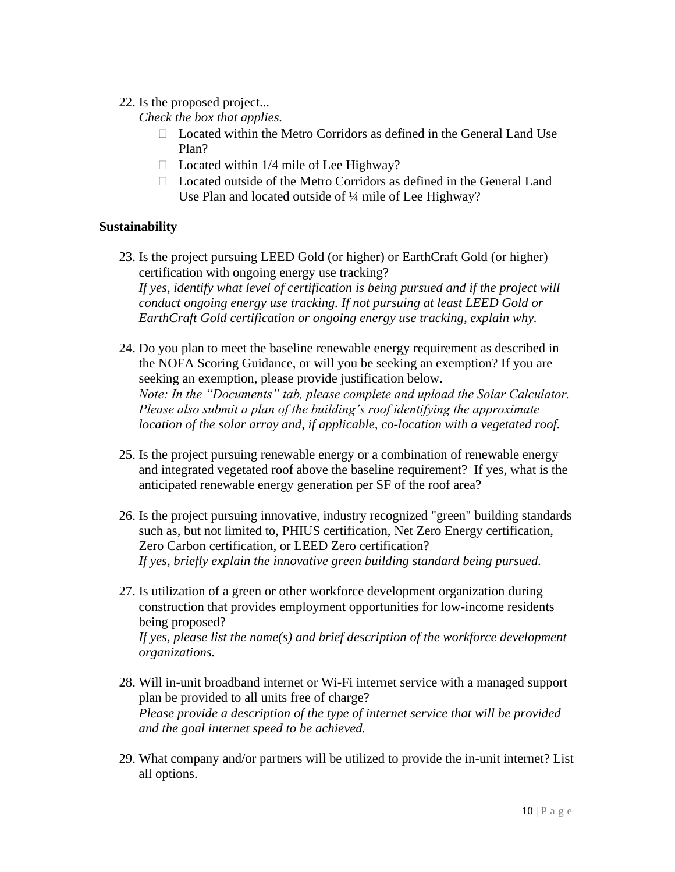## 22. Is the proposed project...

*Check the box that applies.*

- □ Located within the Metro Corridors as defined in the General Land Use Plan?
- $\Box$  Located within 1/4 mile of Lee Highway?
- Located outside of the Metro Corridors as defined in the General Land Use Plan and located outside of ¼ mile of Lee Highway?

# **Sustainability**

- 23. Is the project pursuing LEED Gold (or higher) or EarthCraft Gold (or higher) certification with ongoing energy use tracking? *If yes, identify what level of certification is being pursued and if the project will conduct ongoing energy use tracking. If not pursuing at least LEED Gold or EarthCraft Gold certification or ongoing energy use tracking, explain why.*
- 24. Do you plan to meet the baseline renewable energy requirement as described in the NOFA Scoring Guidance, or will you be seeking an exemption? If you are seeking an exemption, please provide justification below. *Note: In the "Documents" tab, please complete and upload the Solar Calculator. Please also submit a plan of the building's roof identifying the approximate location of the solar array and, if applicable, co-location with a vegetated roof.*
- 25. Is the project pursuing renewable energy or a combination of renewable energy and integrated vegetated roof above the baseline requirement? If yes, what is the anticipated renewable energy generation per SF of the roof area?
- 26. Is the project pursuing innovative, industry recognized "green" building standards such as, but not limited to, PHIUS certification, Net Zero Energy certification, Zero Carbon certification, or LEED Zero certification? *If yes, briefly explain the innovative green building standard being pursued.*
- 27. Is utilization of a green or other workforce development organization during construction that provides employment opportunities for low-income residents being proposed? *If yes, please list the name(s) and brief description of the workforce development organizations.*
- 28. Will in-unit broadband internet or Wi-Fi internet service with a managed support plan be provided to all units free of charge? *Please provide a description of the type of internet service that will be provided and the goal internet speed to be achieved.*
- 29. What company and/or partners will be utilized to provide the in-unit internet? List all options.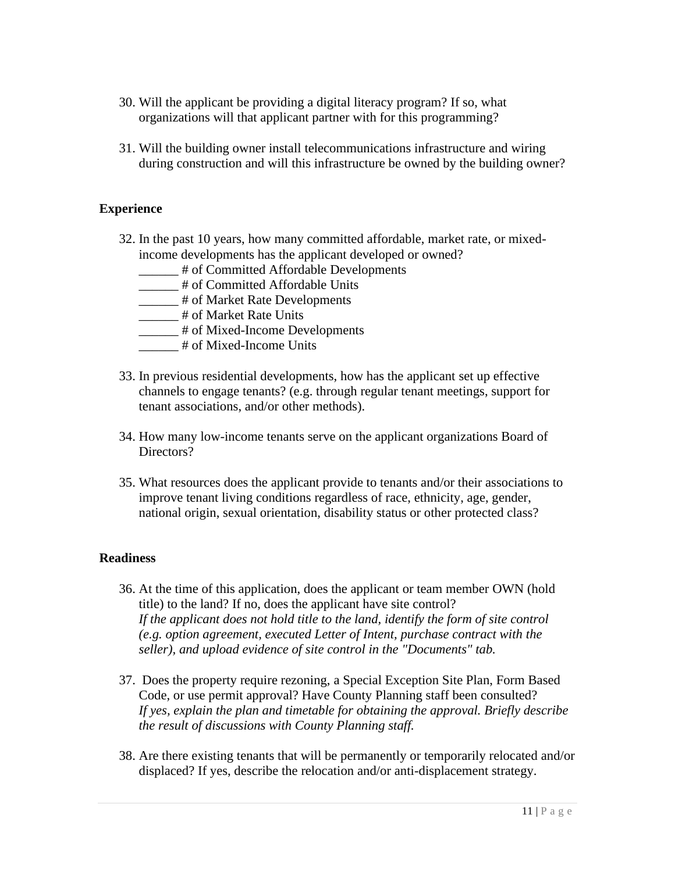- 30. Will the applicant be providing a digital literacy program? If so, what organizations will that applicant partner with for this programming?
- 31. Will the building owner install telecommunications infrastructure and wiring during construction and will this infrastructure be owned by the building owner?

## **Experience**

- 32. In the past 10 years, how many committed affordable, market rate, or mixedincome developments has the applicant developed or owned?
	- \_\_\_\_\_\_ # of Committed Affordable Developments
	- \_\_\_\_\_\_ # of Committed Affordable Units
	- \_\_\_\_\_ # of Market Rate Developments
	- \_\_\_\_\_\_ # of Market Rate Units
	- \_\_\_\_\_\_ # of Mixed-Income Developments
	- \_\_\_\_\_\_ # of Mixed-Income Units
- 33. In previous residential developments, how has the applicant set up effective channels to engage tenants? (e.g. through regular tenant meetings, support for tenant associations, and/or other methods).
- 34. How many low-income tenants serve on the applicant organizations Board of Directors?
- 35. What resources does the applicant provide to tenants and/or their associations to improve tenant living conditions regardless of race, ethnicity, age, gender, national origin, sexual orientation, disability status or other protected class?

## **Readiness**

- 36. At the time of this application, does the applicant or team member OWN (hold title) to the land? If no, does the applicant have site control? *If the applicant does not hold title to the land, identify the form of site control (e.g. option agreement, executed Letter of Intent, purchase contract with the seller), and upload evidence of site control in the "Documents" tab.*
- 37. Does the property require rezoning, a Special Exception Site Plan, Form Based Code, or use permit approval? Have County Planning staff been consulted? *If yes, explain the plan and timetable for obtaining the approval. Briefly describe the result of discussions with County Planning staff.*
- 38. Are there existing tenants that will be permanently or temporarily relocated and/or displaced? If yes, describe the relocation and/or anti-displacement strategy.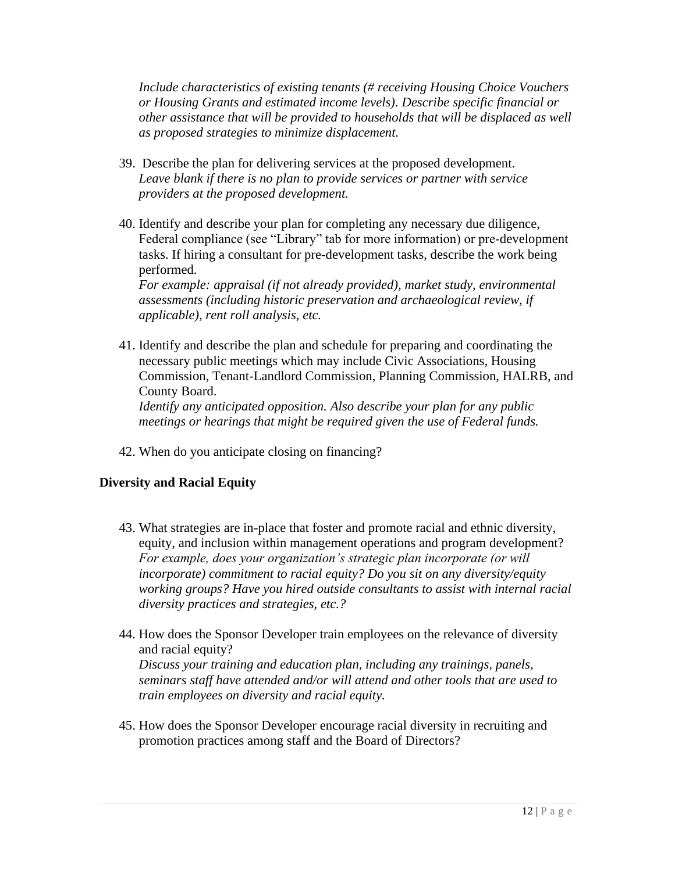*Include characteristics of existing tenants (# receiving Housing Choice Vouchers or Housing Grants and estimated income levels). Describe specific financial or other assistance that will be provided to households that will be displaced as well as proposed strategies to minimize displacement.*

- 39. Describe the plan for delivering services at the proposed development. *Leave blank if there is no plan to provide services or partner with service providers at the proposed development.*
- 40. Identify and describe your plan for completing any necessary due diligence, Federal compliance (see "Library" tab for more information) or pre-development tasks. If hiring a consultant for pre-development tasks, describe the work being performed.

*For example: appraisal (if not already provided), market study, environmental assessments (including historic preservation and archaeological review, if applicable), rent roll analysis, etc.*

41. Identify and describe the plan and schedule for preparing and coordinating the necessary public meetings which may include Civic Associations, Housing Commission, Tenant-Landlord Commission, Planning Commission, HALRB, and County Board. *Identify any anticipated opposition. Also describe your plan for any public* 

*meetings or hearings that might be required given the use of Federal funds.*

42. When do you anticipate closing on financing?

# **Diversity and Racial Equity**

- 43. What strategies are in-place that foster and promote racial and ethnic diversity, equity, and inclusion within management operations and program development? *For example, does your organization's strategic plan incorporate (or will incorporate) commitment to racial equity? Do you sit on any diversity/equity working groups? Have you hired outside consultants to assist with internal racial diversity practices and strategies, etc.?*
- 44. How does the Sponsor Developer train employees on the relevance of diversity and racial equity? *Discuss your training and education plan, including any trainings, panels, seminars staff have attended and/or will attend and other tools that are used to train employees on diversity and racial equity.*
- 45. How does the Sponsor Developer encourage racial diversity in recruiting and promotion practices among staff and the Board of Directors?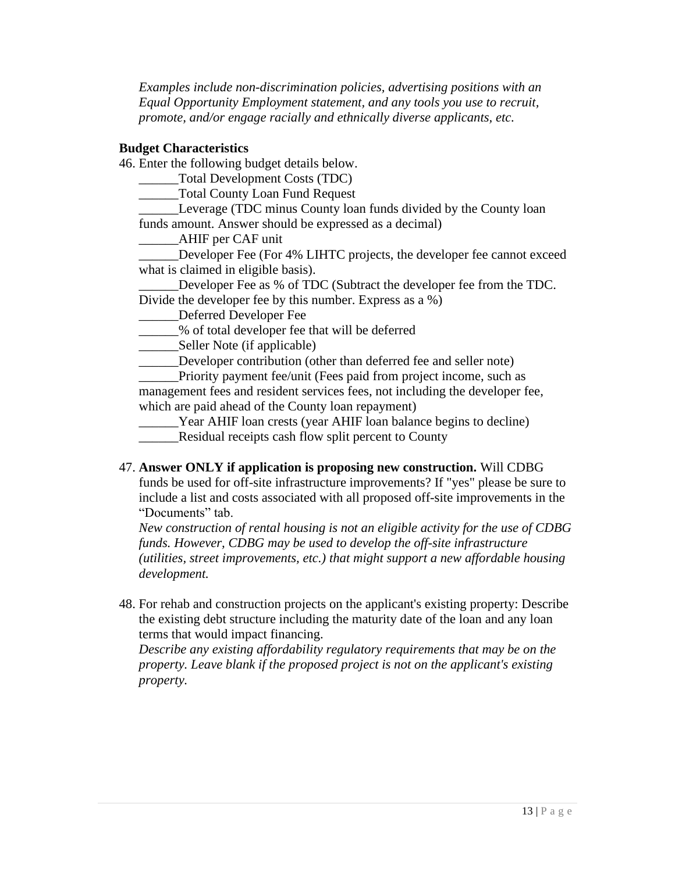*Examples include non-discrimination policies, advertising positions with an Equal Opportunity Employment statement, and any tools you use to recruit, promote, and/or engage racially and ethnically diverse applicants, etc.*

#### **Budget Characteristics**

46. Enter the following budget details below.

\_\_\_\_\_\_Total Development Costs (TDC)

\_\_\_\_\_\_Total County Loan Fund Request

Leverage (TDC minus County loan funds divided by the County loan funds amount. Answer should be expressed as a decimal)

\_\_\_\_\_\_AHIF per CAF unit

Developer Fee (For 4% LIHTC projects, the developer fee cannot exceed what is claimed in eligible basis).

Developer Fee as % of TDC (Subtract the developer fee from the TDC. Divide the developer fee by this number. Express as a %)

\_\_\_\_\_\_Deferred Developer Fee

\_\_\_\_\_\_% of total developer fee that will be deferred

\_\_\_\_\_\_Seller Note (if applicable)

\_\_\_\_\_\_Developer contribution (other than deferred fee and seller note)

\_\_\_\_\_\_Priority payment fee/unit (Fees paid from project income, such as management fees and resident services fees, not including the developer fee, which are paid ahead of the County loan repayment)

Year AHIF loan crests (year AHIF loan balance begins to decline) Residual receipts cash flow split percent to County

# 47. **Answer ONLY if application is proposing new construction.** Will CDBG

funds be used for off-site infrastructure improvements? If "yes" please be sure to include a list and costs associated with all proposed off-site improvements in the "Documents" tab.

*New construction of rental housing is not an eligible activity for the use of CDBG funds. However, CDBG may be used to develop the off-site infrastructure (utilities, street improvements, etc.) that might support a new affordable housing development.*

48. For rehab and construction projects on the applicant's existing property: Describe the existing debt structure including the maturity date of the loan and any loan terms that would impact financing.

*Describe any existing affordability regulatory requirements that may be on the property. Leave blank if the proposed project is not on the applicant's existing property.*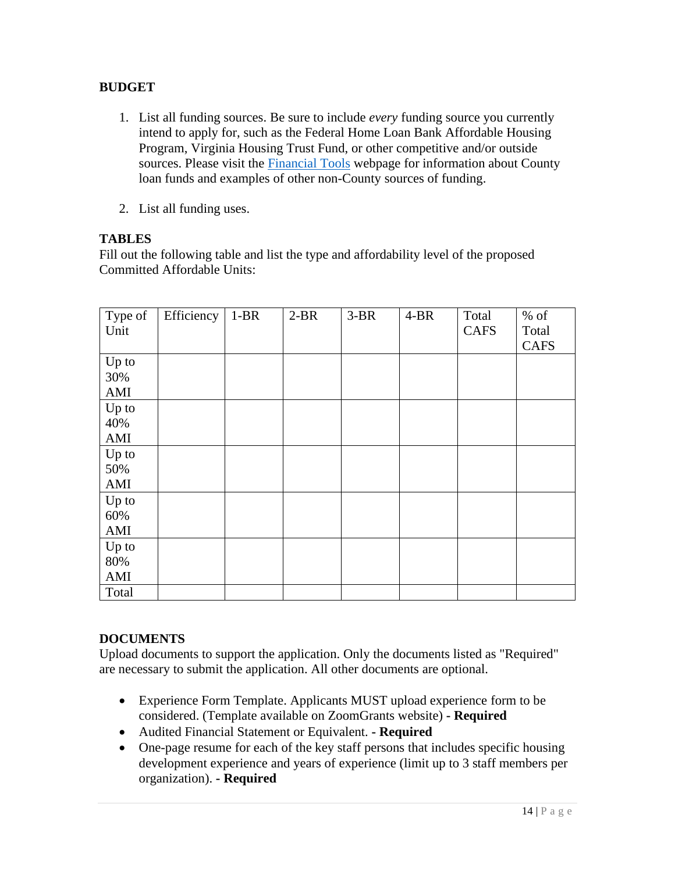# **BUDGET**

- 1. List all funding sources. Be sure to include *every* funding source you currently intend to apply for, such as the Federal Home Loan Bank Affordable Housing Program, Virginia Housing Trust Fund, or other competitive and/or outside sources. Please visit the [Financial Tools](https://housing.arlingtonva.us/development/financial-tools/) webpage for information about County loan funds and examples of other non-County sources of funding.
- 2. List all funding uses.

# **TABLES**

Fill out the following table and list the type and affordability level of the proposed Committed Affordable Units:

| Type of    | Efficiency | $1-BR$ | $2-BR$ | $3-BR$ | $4-BR$ | Total       | $%$ of      |
|------------|------------|--------|--------|--------|--------|-------------|-------------|
| Unit       |            |        |        |        |        | <b>CAFS</b> | Total       |
|            |            |        |        |        |        |             | <b>CAFS</b> |
| Up to      |            |        |        |        |        |             |             |
| 30%        |            |        |        |        |        |             |             |
| AMI        |            |        |        |        |        |             |             |
| Up to      |            |        |        |        |        |             |             |
| 40%        |            |        |        |        |        |             |             |
| AMI        |            |        |        |        |        |             |             |
| Up to      |            |        |        |        |        |             |             |
| 50%        |            |        |        |        |        |             |             |
| AMI        |            |        |        |        |        |             |             |
| Up to      |            |        |        |        |        |             |             |
| 60%        |            |        |        |        |        |             |             |
| AMI        |            |        |        |        |        |             |             |
| Up to      |            |        |        |        |        |             |             |
| 80%        |            |        |        |        |        |             |             |
| <b>AMI</b> |            |        |        |        |        |             |             |
| Total      |            |        |        |        |        |             |             |

## **DOCUMENTS**

Upload documents to support the application. Only the documents listed as "Required" are necessary to submit the application. All other documents are optional.

- Experience Form Template. Applicants MUST upload experience form to be considered. (Template available on ZoomGrants website) **- Required**
- Audited Financial Statement or Equivalent. **- Required**
- One-page resume for each of the key staff persons that includes specific housing development experience and years of experience (limit up to 3 staff members per organization). **- Required**